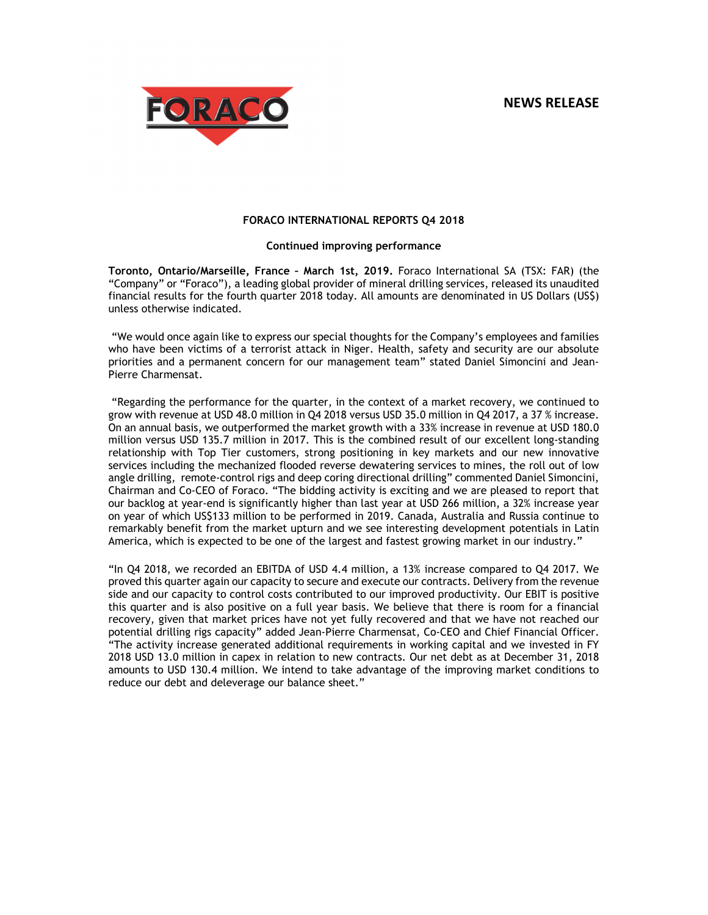# **NEWS RELEASE**



#### **FORACO INTERNATIONAL REPORTS Q4 2018**

#### **Continued improving performance**

**Toronto, Ontario/Marseille, France – March 1st, 2019.** Foraco International SA (TSX: FAR) (the "Company" or "Foraco"), a leading global provider of mineral drilling services, released its unaudited financial results for the fourth quarter 2018 today. All amounts are denominated in US Dollars (US\$) unless otherwise indicated.

 "We would once again like to express our special thoughts for the Company's employees and families who have been victims of a terrorist attack in Niger. Health, safety and security are our absolute priorities and a permanent concern for our management team" stated Daniel Simoncini and Jean-Pierre Charmensat.

 "Regarding the performance for the quarter, in the context of a market recovery, we continued to grow with revenue at USD 48.0 million in Q4 2018 versus USD 35.0 million in Q4 2017, a 37 % increase. On an annual basis, we outperformed the market growth with a 33% increase in revenue at USD 180.0 million versus USD 135.7 million in 2017. This is the combined result of our excellent long-standing relationship with Top Tier customers, strong positioning in key markets and our new innovative services including the mechanized flooded reverse dewatering services to mines, the roll out of low angle drilling, remote-control rigs and deep coring directional drilling" commented Daniel Simoncini, Chairman and Co-CEO of Foraco. "The bidding activity is exciting and we are pleased to report that our backlog at year-end is significantly higher than last year at USD 266 million, a 32% increase year on year of which US\$133 million to be performed in 2019. Canada, Australia and Russia continue to remarkably benefit from the market upturn and we see interesting development potentials in Latin America, which is expected to be one of the largest and fastest growing market in our industry."

"In Q4 2018, we recorded an EBITDA of USD 4.4 million, a 13% increase compared to Q4 2017. We proved this quarter again our capacity to secure and execute our contracts. Delivery from the revenue side and our capacity to control costs contributed to our improved productivity. Our EBIT is positive this quarter and is also positive on a full year basis. We believe that there is room for a financial recovery, given that market prices have not yet fully recovered and that we have not reached our potential drilling rigs capacity" added Jean-Pierre Charmensat, Co-CEO and Chief Financial Officer. "The activity increase generated additional requirements in working capital and we invested in FY 2018 USD 13.0 million in capex in relation to new contracts. Our net debt as at December 31, 2018 amounts to USD 130.4 million. We intend to take advantage of the improving market conditions to reduce our debt and deleverage our balance sheet."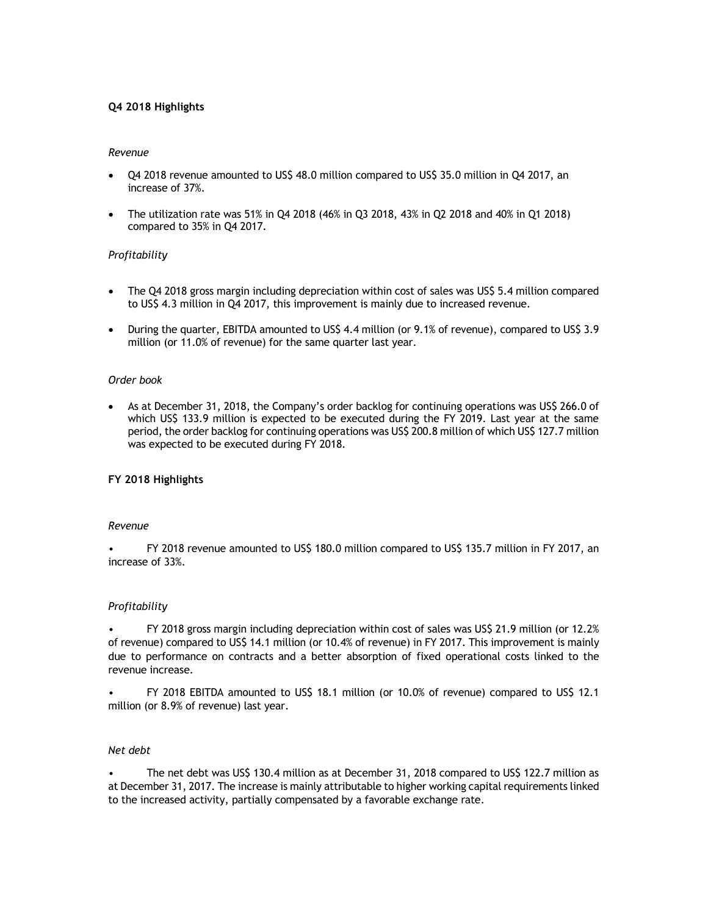### **Q4 2018 Highlights**

### *Revenue*

- Q4 2018 revenue amounted to US\$ 48.0 million compared to US\$ 35.0 million in Q4 2017, an increase of 37%.
- The utilization rate was 51% in Q4 2018 (46% in Q3 2018, 43% in Q2 2018 and 40% in Q1 2018) compared to 35% in Q4 2017.

## *Profitability*

- The Q4 2018 gross margin including depreciation within cost of sales was US\$ 5.4 million compared to US\$ 4.3 million in Q4 2017, this improvement is mainly due to increased revenue.
- During the quarter, EBITDA amounted to US\$ 4.4 million (or 9.1% of revenue), compared to US\$ 3.9 million (or 11.0% of revenue) for the same quarter last year.

#### *Order book*

• As at December 31, 2018, the Company's order backlog for continuing operations was US\$ 266.0 of which US\$ 133.9 million is expected to be executed during the FY 2019. Last year at the same period, the order backlog for continuing operations was US\$ 200.8 million of which US\$ 127.7 million was expected to be executed during FY 2018.

## **FY 2018 Highlights**

#### *Revenue*

• FY 2018 revenue amounted to US\$ 180.0 million compared to US\$ 135.7 million in FY 2017, an increase of 33%.

#### *Profitability*

• FY 2018 gross margin including depreciation within cost of sales was US\$ 21.9 million (or 12.2% of revenue) compared to US\$ 14.1 million (or 10.4% of revenue) in FY 2017. This improvement is mainly due to performance on contracts and a better absorption of fixed operational costs linked to the revenue increase.

• FY 2018 EBITDA amounted to US\$ 18.1 million (or 10.0% of revenue) compared to US\$ 12.1 million (or 8.9% of revenue) last year.

### *Net debt*

• The net debt was US\$ 130.4 million as at December 31, 2018 compared to US\$ 122.7 million as at December 31, 2017. The increase is mainly attributable to higher working capital requirements linked to the increased activity, partially compensated by a favorable exchange rate.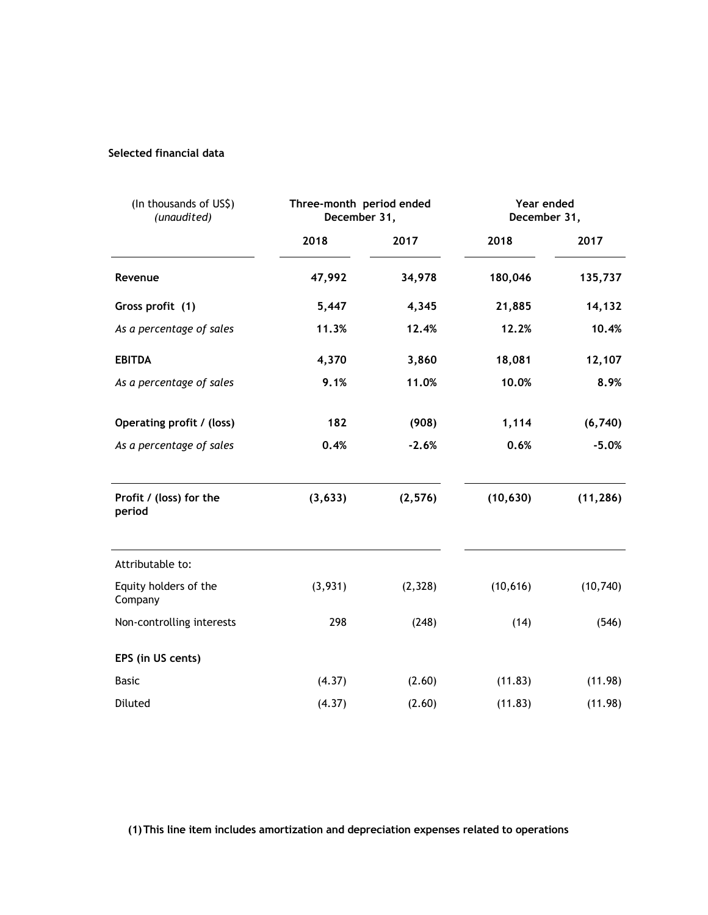# **Selected financial data**

| (In thousands of US\$)<br>(unaudited) | Three-month period ended<br>December 31, |          | Year ended<br>December 31, |           |  |
|---------------------------------------|------------------------------------------|----------|----------------------------|-----------|--|
|                                       | 2018                                     | 2017     | 2018                       | 2017      |  |
| Revenue                               | 47,992                                   | 34,978   | 180,046                    | 135,737   |  |
| Gross profit (1)                      | 5,447                                    | 4,345    | 21,885                     | 14,132    |  |
| As a percentage of sales              | 11.3%                                    | 12.4%    | 12.2%                      | 10.4%     |  |
| <b>EBITDA</b>                         | 4,370                                    | 3,860    | 18,081                     | 12,107    |  |
| As a percentage of sales              | 9.1%                                     | 11.0%    | 10.0%                      | 8.9%      |  |
| Operating profit / (loss)             | 182                                      | (908)    | 1,114                      | (6, 740)  |  |
| As a percentage of sales              | 0.4%                                     | $-2.6%$  | 0.6%                       | $-5.0%$   |  |
| Profit / (loss) for the<br>period     | (3, 633)                                 | (2, 576) | (10, 630)                  | (11, 286) |  |
| Attributable to:                      |                                          |          |                            |           |  |
| Equity holders of the<br>Company      | (3,931)                                  | (2, 328) | (10, 616)                  | (10, 740) |  |
| Non-controlling interests             | 298                                      | (248)    | (14)                       | (546)     |  |
| EPS (in US cents)                     |                                          |          |                            |           |  |
| <b>Basic</b>                          | (4.37)                                   | (2.60)   | (11.83)                    | (11.98)   |  |
| Diluted                               | (4.37)                                   | (2.60)   | (11.83)                    | (11.98)   |  |

**(1)This line item includes amortization and depreciation expenses related to operations**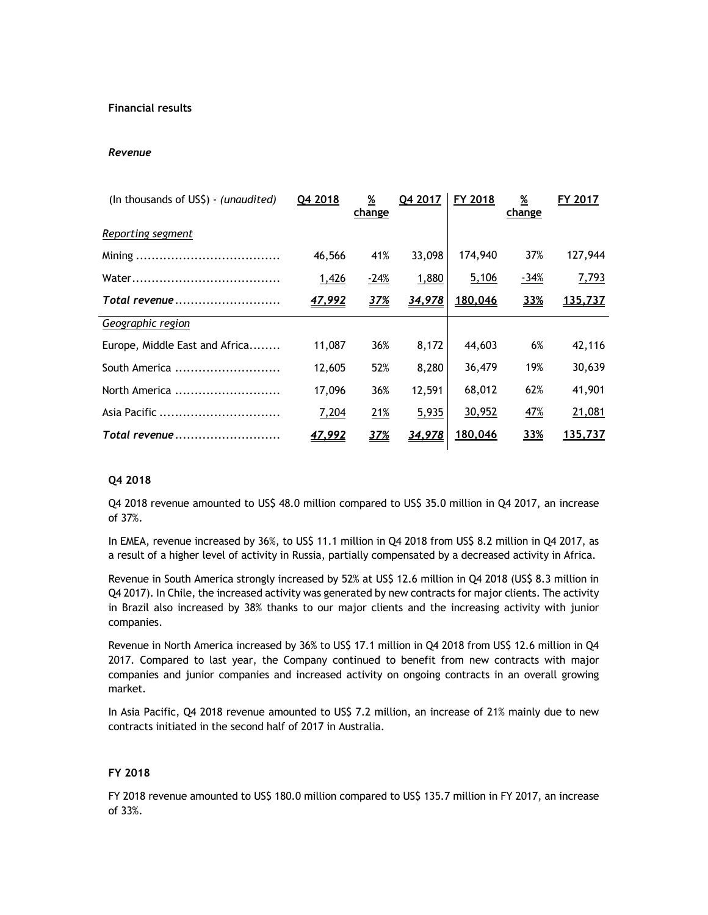## **Financial results**

### *Revenue*

| (In thousands of US\$) - (unaudited) | Q4 2018       | $\frac{\%}{\%}$<br>change | Q4 2017 | FY 2018        | %<br>change | FY 2017 |
|--------------------------------------|---------------|---------------------------|---------|----------------|-------------|---------|
| Reporting segment                    |               |                           |         |                |             |         |
|                                      | 46,566        | 41%                       | 33,098  | 174,940        | 37%         | 127,944 |
|                                      | 1,426         | $-24%$                    | 1,880   | 5,106          | $-34%$      | 7,793   |
| Total revenue                        | 47,992        | <u>37%</u>                | 34,978  | 180,046        | 33%         | 135,737 |
| Geographic region                    |               |                           |         |                |             |         |
| Europe, Middle East and Africa       | 11,087        | 36%                       | 8,172   | 44,603         | 6%          | 42,116  |
| South America                        | 12,605        | 52%                       | 8,280   | 36,479         | 19%         | 30,639  |
| North America                        | 17,096        | 36%                       | 12,591  | 68,012         | 62%         | 41,901  |
| Asia Pacific                         | 7,204         | 21%                       | 5,935   | 30,952         | 47%         | 21,081  |
| Total revenue                        | <u>47,992</u> | <u>37%</u>                | 34,978  | <u>180,046</u> | <u>33%</u>  | 135,737 |

## **Q4 2018**

Q4 2018 revenue amounted to US\$ 48.0 million compared to US\$ 35.0 million in Q4 2017, an increase of 37%.

In EMEA, revenue increased by 36%, to US\$ 11.1 million in Q4 2018 from US\$ 8.2 million in Q4 2017, as a result of a higher level of activity in Russia, partially compensated by a decreased activity in Africa.

Revenue in South America strongly increased by 52% at US\$ 12.6 million in Q4 2018 (US\$ 8.3 million in Q4 2017). In Chile, the increased activity was generated by new contracts for major clients. The activity in Brazil also increased by 38% thanks to our major clients and the increasing activity with junior companies.

Revenue in North America increased by 36% to US\$ 17.1 million in Q4 2018 from US\$ 12.6 million in Q4 2017. Compared to last year, the Company continued to benefit from new contracts with major companies and junior companies and increased activity on ongoing contracts in an overall growing market.

In Asia Pacific, Q4 2018 revenue amounted to US\$ 7.2 million, an increase of 21% mainly due to new contracts initiated in the second half of 2017 in Australia.

## **FY 2018**

FY 2018 revenue amounted to US\$ 180.0 million compared to US\$ 135.7 million in FY 2017, an increase of 33%.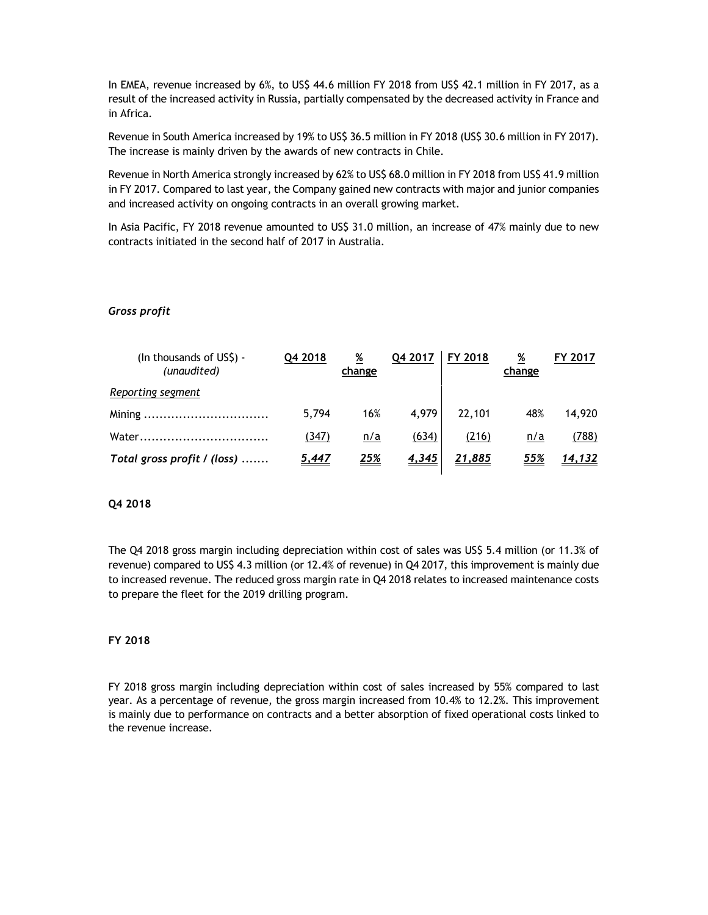In EMEA, revenue increased by 6%, to US\$ 44.6 million FY 2018 from US\$ 42.1 million in FY 2017, as a result of the increased activity in Russia, partially compensated by the decreased activity in France and in Africa.

Revenue in South America increased by 19% to US\$ 36.5 million in FY 2018 (US\$ 30.6 million in FY 2017). The increase is mainly driven by the awards of new contracts in Chile.

Revenue in North America strongly increased by 62% to US\$ 68.0 million in FY 2018 from US\$ 41.9 million in FY 2017. Compared to last year, the Company gained new contracts with major and junior companies and increased activity on ongoing contracts in an overall growing market.

In Asia Pacific, FY 2018 revenue amounted to US\$ 31.0 million, an increase of 47% mainly due to new contracts initiated in the second half of 2017 in Australia.

### *Gross profit*

| (In thousands of US\$) -<br>(unaudited) | Q4 2018      | %<br>change | Q4 2017      | FY 2018       | $\frac{\%}{\%}$<br>change | 2017   |
|-----------------------------------------|--------------|-------------|--------------|---------------|---------------------------|--------|
| Reporting segment                       |              |             |              |               |                           |        |
|                                         | 5.794        | 16%         | 4.979        | 22,101        | 48%                       | 14.920 |
| Water                                   | (347)        | n/a         | (634)        | (216)         | n/a                       | (788)  |
| Total gross profit / (loss)             | <u>5,447</u> | 25%         | <u>4,345</u> | <u>21,885</u> | 55%                       | 14,132 |

### **Q4 2018**

The Q4 2018 gross margin including depreciation within cost of sales was US\$ 5.4 million (or 11.3% of revenue) compared to US\$ 4.3 million (or 12.4% of revenue) in Q4 2017, this improvement is mainly due to increased revenue. The reduced gross margin rate in Q4 2018 relates to increased maintenance costs to prepare the fleet for the 2019 drilling program.

### **FY 2018**

FY 2018 gross margin including depreciation within cost of sales increased by 55% compared to last year. As a percentage of revenue, the gross margin increased from 10.4% to 12.2%. This improvement is mainly due to performance on contracts and a better absorption of fixed operational costs linked to the revenue increase.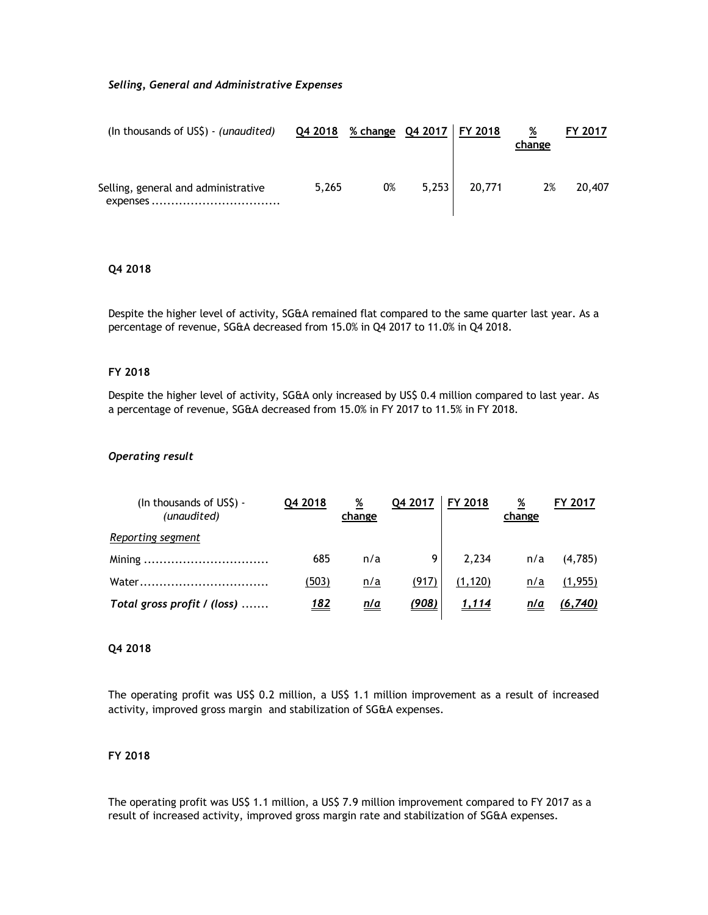### *Selling, General and Administrative Expenses*

| (In thousands of US\$) - (unaudited)            | Q4 2018 % change Q4 2017   FY 2018 |    |       |        | %<br>change | <b>FY 2017</b> |
|-------------------------------------------------|------------------------------------|----|-------|--------|-------------|----------------|
| Selling, general and administrative<br>expenses | 5,265                              | 0% | 5,253 | 20,771 | 2%          | 20,407         |

## **Q4 2018**

Despite the higher level of activity, SG&A remained flat compared to the same quarter last year. As a percentage of revenue, SG&A decreased from 15.0% in Q4 2017 to 11.0% in Q4 2018.

#### **FY 2018**

Despite the higher level of activity, SG&A only increased by US\$ 0.4 million compared to last year. As a percentage of revenue, SG&A decreased from 15.0% in FY 2017 to 11.5% in FY 2018.

### *Operating result*

| (In thousands of US\$) -<br>(unaudited) | Q4 2018     | %<br>change | Q4 2017      | FY 2018  | %<br>change | FY 2017 |
|-----------------------------------------|-------------|-------------|--------------|----------|-------------|---------|
| Reporting segment                       |             |             |              |          |             |         |
|                                         | 685         | n/a         | Q            | 2.234    | n/a         | (4,785) |
| Water                                   | (503)       | n/a         | (917)        | (1, 120) | n/a         | (1,955) |
| Total gross profit / (loss)             | <u> 182</u> | <u>n/a</u>  | <u>(908)</u> | 1,114    | n/a         | (6,740) |

### **Q4 2018**

The operating profit was US\$ 0.2 million, a US\$ 1.1 million improvement as a result of increased activity, improved gross margin and stabilization of SG&A expenses.

## **FY 2018**

The operating profit was US\$ 1.1 million, a US\$ 7.9 million improvement compared to FY 2017 as a result of increased activity, improved gross margin rate and stabilization of SG&A expenses.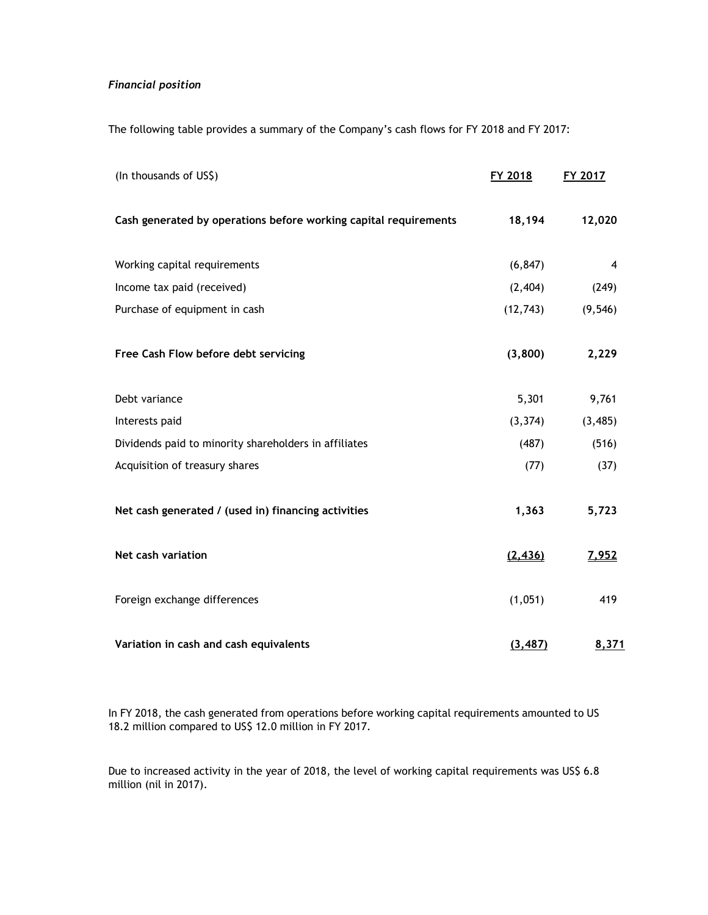## *Financial position*

The following table provides a summary of the Company's cash flows for FY 2018 and FY 2017:

| (In thousands of US\$)                                           | FY 2018   | FY 2017  |
|------------------------------------------------------------------|-----------|----------|
| Cash generated by operations before working capital requirements | 18,194    | 12,020   |
| Working capital requirements                                     | (6, 847)  | 4        |
| Income tax paid (received)                                       | (2, 404)  | (249)    |
| Purchase of equipment in cash                                    | (12, 743) | (9, 546) |
| Free Cash Flow before debt servicing                             | (3,800)   | 2,229    |
| Debt variance                                                    | 5,301     | 9,761    |
| Interests paid                                                   | (3, 374)  | (3, 485) |
| Dividends paid to minority shareholders in affiliates            | (487)     | (516)    |
| Acquisition of treasury shares                                   | (77)      | (37)     |
| Net cash generated / (used in) financing activities              | 1,363     | 5,723    |
| Net cash variation                                               | (2, 436)  | 7,952    |
| Foreign exchange differences                                     | (1,051)   | 419      |
| Variation in cash and cash equivalents                           | (3, 487)  | 8,371    |

In FY 2018, the cash generated from operations before working capital requirements amounted to US 18.2 million compared to US\$ 12.0 million in FY 2017.

Due to increased activity in the year of 2018, the level of working capital requirements was US\$ 6.8 million (nil in 2017).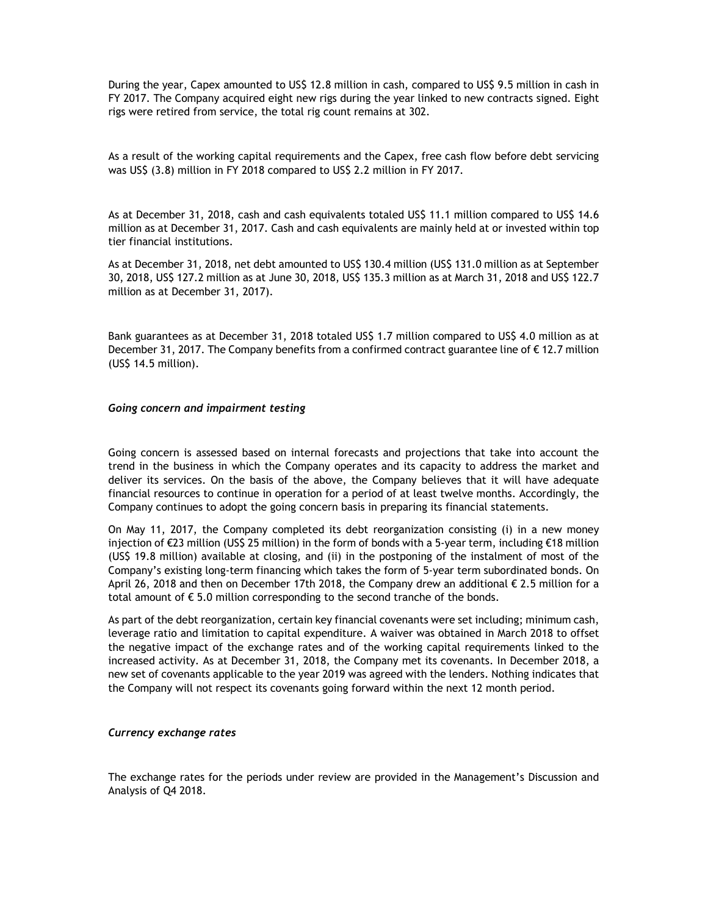During the year, Capex amounted to US\$ 12.8 million in cash, compared to US\$ 9.5 million in cash in FY 2017. The Company acquired eight new rigs during the year linked to new contracts signed. Eight rigs were retired from service, the total rig count remains at 302.

As a result of the working capital requirements and the Capex, free cash flow before debt servicing was US\$ (3.8) million in FY 2018 compared to US\$ 2.2 million in FY 2017.

As at December 31, 2018, cash and cash equivalents totaled US\$ 11.1 million compared to US\$ 14.6 million as at December 31, 2017. Cash and cash equivalents are mainly held at or invested within top tier financial institutions.

As at December 31, 2018, net debt amounted to US\$ 130.4 million (US\$ 131.0 million as at September 30, 2018, US\$ 127.2 million as at June 30, 2018, US\$ 135.3 million as at March 31, 2018 and US\$ 122.7 million as at December 31, 2017).

Bank guarantees as at December 31, 2018 totaled US\$ 1.7 million compared to US\$ 4.0 million as at December 31, 2017. The Company benefits from a confirmed contract guarantee line of € 12.7 million (US\$ 14.5 million).

#### *Going concern and impairment testing*

Going concern is assessed based on internal forecasts and projections that take into account the trend in the business in which the Company operates and its capacity to address the market and deliver its services. On the basis of the above, the Company believes that it will have adequate financial resources to continue in operation for a period of at least twelve months. Accordingly, the Company continues to adopt the going concern basis in preparing its financial statements.

On May 11, 2017, the Company completed its debt reorganization consisting (i) in a new money injection of €23 million (US\$ 25 million) in the form of bonds with a 5-year term, including €18 million (US\$ 19.8 million) available at closing, and (ii) in the postponing of the instalment of most of the Company's existing long-term financing which takes the form of 5-year term subordinated bonds. On April 26, 2018 and then on December 17th 2018, the Company drew an additional € 2.5 million for a total amount of € 5.0 million corresponding to the second tranche of the bonds.

As part of the debt reorganization, certain key financial covenants were set including; minimum cash, leverage ratio and limitation to capital expenditure. A waiver was obtained in March 2018 to offset the negative impact of the exchange rates and of the working capital requirements linked to the increased activity. As at December 31, 2018, the Company met its covenants. In December 2018, a new set of covenants applicable to the year 2019 was agreed with the lenders. Nothing indicates that the Company will not respect its covenants going forward within the next 12 month period.

#### *Currency exchange rates*

The exchange rates for the periods under review are provided in the Management's Discussion and Analysis of Q4 2018.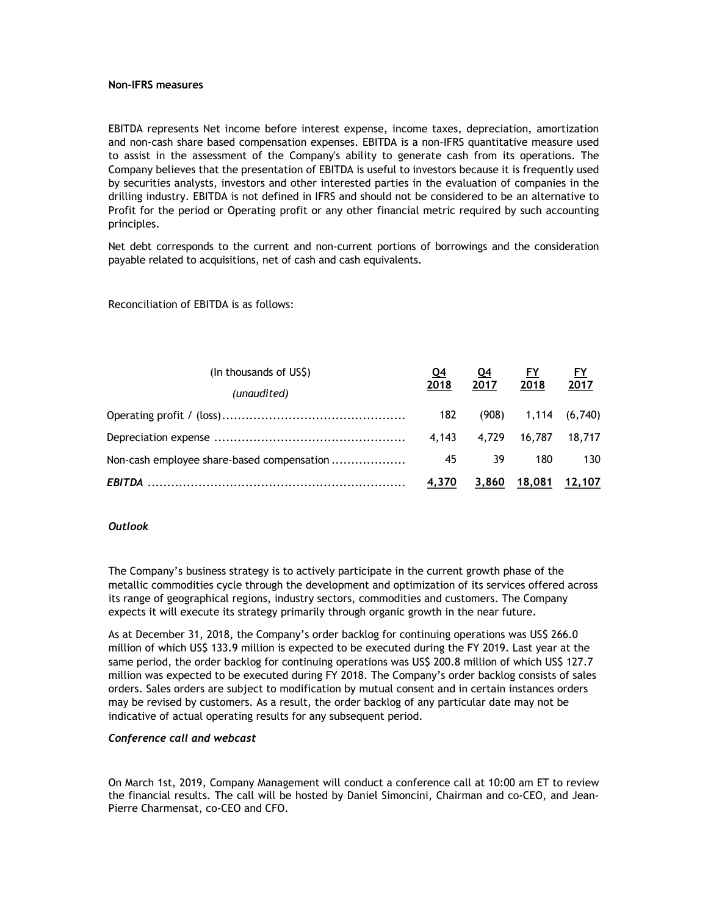#### **Non-IFRS measures**

EBITDA represents Net income before interest expense, income taxes, depreciation, amortization and non-cash share based compensation expenses. EBITDA is a non-IFRS quantitative measure used to assist in the assessment of the Company's ability to generate cash from its operations. The Company believes that the presentation of EBITDA is useful to investors because it is frequently used by securities analysts, investors and other interested parties in the evaluation of companies in the drilling industry. EBITDA is not defined in IFRS and should not be considered to be an alternative to Profit for the period or Operating profit or any other financial metric required by such accounting principles.

Net debt corresponds to the current and non-current portions of borrowings and the consideration payable related to acquisitions, net of cash and cash equivalents.

Reconciliation of EBITDA is as follows:

| (In thousands of US\$)                     |              | <u>Q4</u> | <u>FY</u>               | <u>FY</u> |  |
|--------------------------------------------|--------------|-----------|-------------------------|-----------|--|
| (unaudited)                                | 2018         | 2017      | 2018                    | 2017      |  |
|                                            | 182          |           | $(908)$ 1,114 $(6,740)$ |           |  |
|                                            | 4.143        | 4.729     | 16,787 18,717           |           |  |
| Non-cash employee share-based compensation | 45           | 39        | 180                     | 130       |  |
|                                            | <u>4,370</u> |           | 3,860 18,081 12,107     |           |  |

### *Outlook*

The Company's business strategy is to actively participate in the current growth phase of the metallic commodities cycle through the development and optimization of its services offered across its range of geographical regions, industry sectors, commodities and customers. The Company expects it will execute its strategy primarily through organic growth in the near future.

As at December 31, 2018, the Company's order backlog for continuing operations was US\$ 266.0 million of which US\$ 133.9 million is expected to be executed during the FY 2019. Last year at the same period, the order backlog for continuing operations was US\$ 200.8 million of which US\$ 127.7 million was expected to be executed during FY 2018. The Company's order backlog consists of sales orders. Sales orders are subject to modification by mutual consent and in certain instances orders may be revised by customers. As a result, the order backlog of any particular date may not be indicative of actual operating results for any subsequent period.

#### *Conference call and webcast*

On March 1st, 2019, Company Management will conduct a conference call at 10:00 am ET to review the financial results. The call will be hosted by Daniel Simoncini, Chairman and co-CEO, and Jean-Pierre Charmensat, co-CEO and CFO.